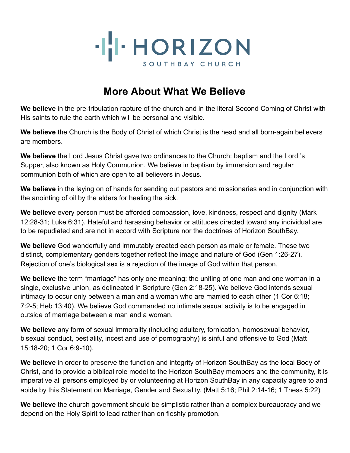

## **More About What We Believe**

**We believe** in the pre-tribulation rapture of the church and in the literal Second Coming of Christ with His saints to rule the earth which will be personal and visible.

**We believe** the Church is the Body of Christ of which Christ is the head and all born-again believers are members.

**We believe** the Lord Jesus Christ gave two ordinances to the Church: baptism and the Lord 's Supper, also known as Holy Communion. We believe in baptism by immersion and regular communion both of which are open to all believers in Jesus.

**We believe** in the laying on of hands for sending out pastors and missionaries and in conjunction with the anointing of oil by the elders for healing the sick.

**We believe** every person must be afforded compassion, love, kindness, respect and dignity (Mark 12:28-31; Luke 6:31). Hateful and harassing behavior or attitudes directed toward any individual are to be repudiated and are not in accord with Scripture nor the doctrines of Horizon SouthBay.

**We believe** God wonderfully and immutably created each person as male or female. These two distinct, complementary genders together reflect the image and nature of God (Gen 1:26-27). Rejection of one's biological sex is a rejection of the image of God within that person.

**We believe** the term "marriage" has only one meaning: the uniting of one man and one woman in a single, exclusive union, as delineated in Scripture (Gen 2:18-25). We believe God intends sexual intimacy to occur only between a man and a woman who are married to each other (1 Cor 6:18; 7:2-5; Heb 13:40). We believe God commanded no intimate sexual activity is to be engaged in outside of marriage between a man and a woman.

**We believe** any form of sexual immorality (including adultery, fornication, homosexual behavior, bisexual conduct, bestiality, incest and use of pornography) is sinful and offensive to God (Matt 15:18-20; 1 Cor 6:9-10).

**We believe** in order to preserve the function and integrity of Horizon SouthBay as the local Body of Christ, and to provide a biblical role model to the Horizon SouthBay members and the community, it is imperative all persons employed by or volunteering at Horizon SouthBay in any capacity agree to and abide by this Statement on Marriage, Gender and Sexuality. (Matt 5:16; Phil 2:14-16; 1 Thess 5:22)

**We believe** the church government should be simplistic rather than a complex bureaucracy and we depend on the Holy Spirit to lead rather than on fleshly promotion.